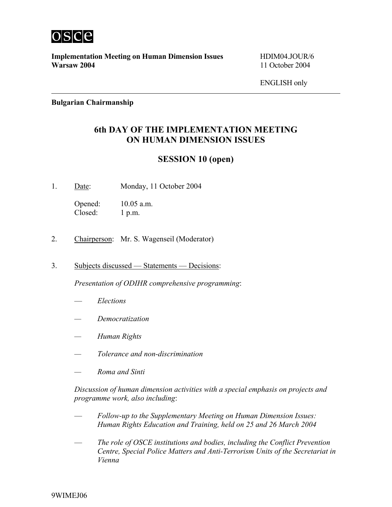

**Implementation Meeting on Human Dimension Issues** HDIM04.JOUR/6 **Warsaw 2004** 11 October 2004

ENGLISH only

**Bulgarian Chairmanship**

## **6th DAY OF THE IMPLEMENTATION MEETING ON HUMAN DIMENSION ISSUES**

## **SESSION 10 (open)**

1. Date: Monday, 11 October 2004

Opened: 10.05 a.m. Closed: 1 p.m.

- 2. Chairperson: Mr. S. Wagenseil (Moderator)
- 3. Subjects discussed Statements Decisions:

*Presentation of ODIHR comprehensive programming*:

- *Elections*
- *Democratization*
- *Human Rights*
- *Tolerance and non-discrimination*
- *Roma and Sinti*

*Discussion of human dimension activities with a special emphasis on projects and programme work, also including*:

- *Follow-up to the Supplementary Meeting on Human Dimension Issues: Human Rights Education and Training, held on 25 and 26 March 2004*
- *The role of OSCE institutions and bodies, including the Conflict Prevention Centre, Special Police Matters and Anti-Terrorism Units of the Secretariat in Vienna*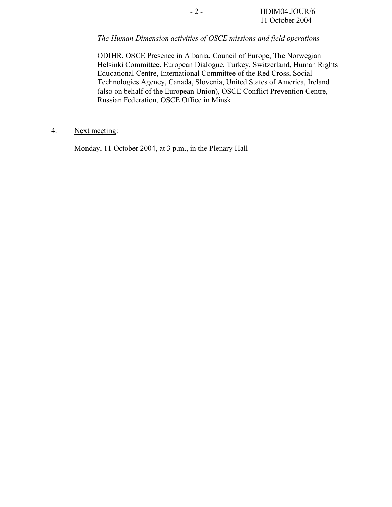— *The Human Dimension activities of OSCE missions and field operations*

ODIHR, OSCE Presence in Albania, Council of Europe, The Norwegian Helsinki Committee, European Dialogue, Turkey, Switzerland, Human Rights Educational Centre, International Committee of the Red Cross, Social Technologies Agency, Canada, Slovenia, United States of America, Ireland (also on behalf of the European Union), OSCE Conflict Prevention Centre, Russian Federation, OSCE Office in Minsk

## 4. Next meeting:

Monday, 11 October 2004, at 3 p.m., in the Plenary Hall